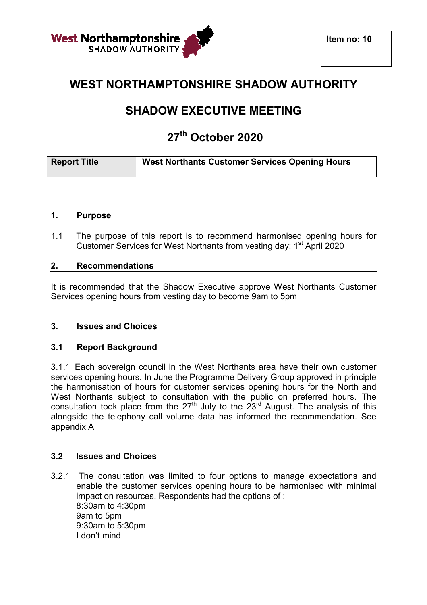

## **WEST NORTHAMPTONSHIRE SHADOW AUTHORITY**

# **SHADOW EXECUTIVE EXECUTIVE MEETING**

# **27th October 2020**

| <b>Report Title</b> | <b>West Northants Customer Services Opening Hours</b> |
|---------------------|-------------------------------------------------------|

#### **1. Purpose**

1.1 The purpose of this report is to recommend harmonised opening hours for Customer Services for West Northants from vesting day; 1<sup>st</sup> April 2020

## **2. Recommendations**

It is recommended that the Shadow Executive approve West Northants Customer Services opening hours from vesting day to become 9am to 5pm

## **3. Issues and Choices**

## **3.1 Report Background**

3.1.1 Each sovereign council in the West Northants area have their own customer services opening hours. In June the Programme Delivery Group approved in principle the harmonisation of hours for customer services opening hours for the North and West Northants subject to consultation with the public on preferred hours. The consultation took place from the  $27<sup>th</sup>$  July to the  $23<sup>rd</sup>$  August. The analysis of this alongside the telephony call volume data has informed the recommendation. See appendix A

#### **3.2 Issues and Choices**

3.2.1 The consultation was limited to four options to manage expectations and enable the customer services opening hours to be harmonised with minimal impact on resources. Respondents had the options of : 8:30am to 4:30pm 9am to 5pm 9:30am to 5:30pm I don't mind